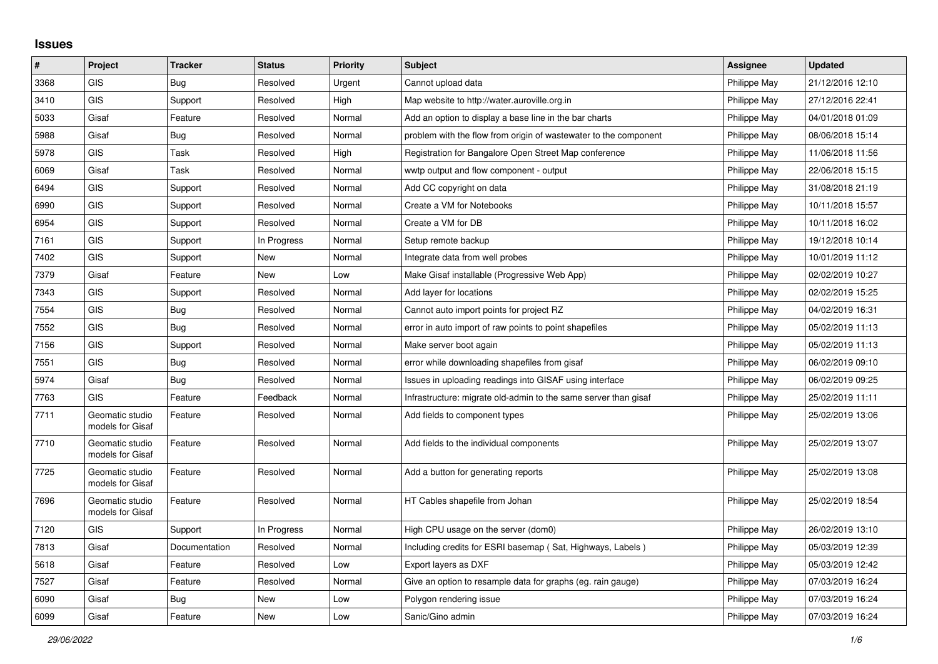## **Issues**

| $\vert$ # | Project                             | <b>Tracker</b> | <b>Status</b> | <b>Priority</b> | <b>Subject</b>                                                   | Assignee     | <b>Updated</b>   |
|-----------|-------------------------------------|----------------|---------------|-----------------|------------------------------------------------------------------|--------------|------------------|
| 3368      | <b>GIS</b>                          | Bug            | Resolved      | Urgent          | Cannot upload data                                               | Philippe May | 21/12/2016 12:10 |
| 3410      | <b>GIS</b>                          | Support        | Resolved      | High            | Map website to http://water.auroville.org.in                     | Philippe May | 27/12/2016 22:41 |
| 5033      | Gisaf                               | Feature        | Resolved      | Normal          | Add an option to display a base line in the bar charts           | Philippe May | 04/01/2018 01:09 |
| 5988      | Gisaf                               | Bug            | Resolved      | Normal          | problem with the flow from origin of wastewater to the component | Philippe May | 08/06/2018 15:14 |
| 5978      | <b>GIS</b>                          | Task           | Resolved      | High            | Registration for Bangalore Open Street Map conference            | Philippe May | 11/06/2018 11:56 |
| 6069      | Gisaf                               | Task           | Resolved      | Normal          | wwtp output and flow component - output                          | Philippe May | 22/06/2018 15:15 |
| 6494      | <b>GIS</b>                          | Support        | Resolved      | Normal          | Add CC copyright on data                                         | Philippe May | 31/08/2018 21:19 |
| 6990      | <b>GIS</b>                          | Support        | Resolved      | Normal          | Create a VM for Notebooks                                        | Philippe May | 10/11/2018 15:57 |
| 6954      | <b>GIS</b>                          | Support        | Resolved      | Normal          | Create a VM for DB                                               | Philippe May | 10/11/2018 16:02 |
| 7161      | GIS                                 | Support        | In Progress   | Normal          | Setup remote backup                                              | Philippe May | 19/12/2018 10:14 |
| 7402      | <b>GIS</b>                          | Support        | New           | Normal          | Integrate data from well probes                                  | Philippe May | 10/01/2019 11:12 |
| 7379      | Gisaf                               | Feature        | New           | Low             | Make Gisaf installable (Progressive Web App)                     | Philippe May | 02/02/2019 10:27 |
| 7343      | <b>GIS</b>                          | Support        | Resolved      | Normal          | Add layer for locations                                          | Philippe May | 02/02/2019 15:25 |
| 7554      | <b>GIS</b>                          | Bug            | Resolved      | Normal          | Cannot auto import points for project RZ                         | Philippe May | 04/02/2019 16:31 |
| 7552      | GIS                                 | <b>Bug</b>     | Resolved      | Normal          | error in auto import of raw points to point shapefiles           | Philippe May | 05/02/2019 11:13 |
| 7156      | <b>GIS</b>                          | Support        | Resolved      | Normal          | Make server boot again                                           | Philippe May | 05/02/2019 11:13 |
| 7551      | <b>GIS</b>                          | Bug            | Resolved      | Normal          | error while downloading shapefiles from gisaf                    | Philippe May | 06/02/2019 09:10 |
| 5974      | Gisaf                               | Bug            | Resolved      | Normal          | Issues in uploading readings into GISAF using interface          | Philippe May | 06/02/2019 09:25 |
| 7763      | <b>GIS</b>                          | Feature        | Feedback      | Normal          | Infrastructure: migrate old-admin to the same server than gisaf  | Philippe May | 25/02/2019 11:11 |
| 7711      | Geomatic studio<br>models for Gisaf | Feature        | Resolved      | Normal          | Add fields to component types                                    | Philippe May | 25/02/2019 13:06 |
| 7710      | Geomatic studio<br>models for Gisaf | Feature        | Resolved      | Normal          | Add fields to the individual components                          | Philippe May | 25/02/2019 13:07 |
| 7725      | Geomatic studio<br>models for Gisaf | Feature        | Resolved      | Normal          | Add a button for generating reports                              | Philippe May | 25/02/2019 13:08 |
| 7696      | Geomatic studio<br>models for Gisaf | Feature        | Resolved      | Normal          | HT Cables shapefile from Johan                                   | Philippe May | 25/02/2019 18:54 |
| 7120      | <b>GIS</b>                          | Support        | In Progress   | Normal          | High CPU usage on the server (dom0)                              | Philippe May | 26/02/2019 13:10 |
| 7813      | Gisaf                               | Documentation  | Resolved      | Normal          | Including credits for ESRI basemap (Sat, Highways, Labels)       | Philippe May | 05/03/2019 12:39 |
| 5618      | Gisaf                               | Feature        | Resolved      | Low             | Export layers as DXF                                             | Philippe May | 05/03/2019 12:42 |
| 7527      | Gisaf                               | Feature        | Resolved      | Normal          | Give an option to resample data for graphs (eg. rain gauge)      | Philippe May | 07/03/2019 16:24 |
| 6090      | Gisaf                               | <b>Bug</b>     | New           | Low             | Polygon rendering issue                                          | Philippe May | 07/03/2019 16:24 |
| 6099      | Gisaf                               | Feature        | New           | Low             | Sanic/Gino admin                                                 | Philippe May | 07/03/2019 16:24 |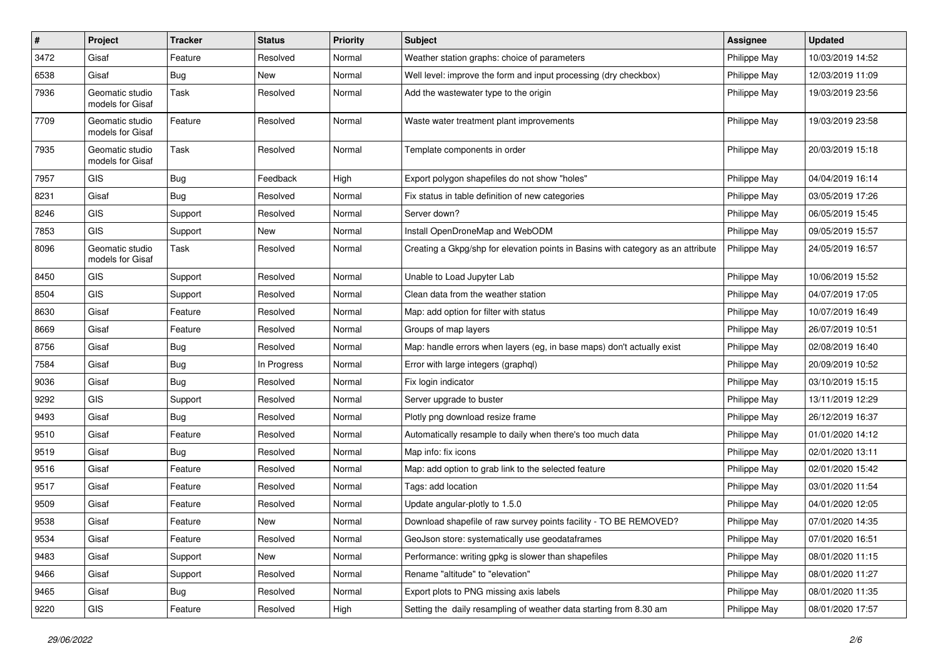| #    | Project                             | <b>Tracker</b> | <b>Status</b> | <b>Priority</b> | <b>Subject</b>                                                                   | <b>Assignee</b> | <b>Updated</b>   |
|------|-------------------------------------|----------------|---------------|-----------------|----------------------------------------------------------------------------------|-----------------|------------------|
| 3472 | Gisaf                               | Feature        | Resolved      | Normal          | Weather station graphs: choice of parameters                                     | Philippe May    | 10/03/2019 14:52 |
| 6538 | Gisaf                               | Bug            | <b>New</b>    | Normal          | Well level: improve the form and input processing (dry checkbox)                 | Philippe May    | 12/03/2019 11:09 |
| 7936 | Geomatic studio<br>models for Gisaf | Task           | Resolved      | Normal          | Add the wastewater type to the origin                                            | Philippe May    | 19/03/2019 23:56 |
| 7709 | Geomatic studio<br>models for Gisaf | Feature        | Resolved      | Normal          | Waste water treatment plant improvements                                         | Philippe May    | 19/03/2019 23:58 |
| 7935 | Geomatic studio<br>models for Gisaf | Task           | Resolved      | Normal          | Template components in order                                                     | Philippe May    | 20/03/2019 15:18 |
| 7957 | GIS                                 | Bug            | Feedback      | High            | Export polygon shapefiles do not show "holes"                                    | Philippe May    | 04/04/2019 16:14 |
| 8231 | Gisaf                               | Bug            | Resolved      | Normal          | Fix status in table definition of new categories                                 | Philippe May    | 03/05/2019 17:26 |
| 8246 | <b>GIS</b>                          | Support        | Resolved      | Normal          | Server down?                                                                     | Philippe May    | 06/05/2019 15:45 |
| 7853 | GIS                                 | Support        | New           | Normal          | Install OpenDroneMap and WebODM                                                  | Philippe May    | 09/05/2019 15:57 |
| 8096 | Geomatic studio<br>models for Gisaf | Task           | Resolved      | Normal          | Creating a Gkpg/shp for elevation points in Basins with category as an attribute | Philippe May    | 24/05/2019 16:57 |
| 8450 | GIS                                 | Support        | Resolved      | Normal          | Unable to Load Jupyter Lab                                                       | Philippe May    | 10/06/2019 15:52 |
| 8504 | GIS                                 | Support        | Resolved      | Normal          | Clean data from the weather station                                              | Philippe May    | 04/07/2019 17:05 |
| 8630 | Gisaf                               | Feature        | Resolved      | Normal          | Map: add option for filter with status                                           | Philippe May    | 10/07/2019 16:49 |
| 8669 | Gisaf                               | Feature        | Resolved      | Normal          | Groups of map layers                                                             | Philippe May    | 26/07/2019 10:51 |
| 8756 | Gisaf                               | <b>Bug</b>     | Resolved      | Normal          | Map: handle errors when layers (eg, in base maps) don't actually exist           | Philippe May    | 02/08/2019 16:40 |
| 7584 | Gisaf                               | <b>Bug</b>     | In Progress   | Normal          | Error with large integers (graphql)                                              | Philippe May    | 20/09/2019 10:52 |
| 9036 | Gisaf                               | Bug            | Resolved      | Normal          | Fix login indicator                                                              | Philippe May    | 03/10/2019 15:15 |
| 9292 | GIS                                 | Support        | Resolved      | Normal          | Server upgrade to buster                                                         | Philippe May    | 13/11/2019 12:29 |
| 9493 | Gisaf                               | Bug            | Resolved      | Normal          | Plotly png download resize frame                                                 | Philippe May    | 26/12/2019 16:37 |
| 9510 | Gisaf                               | Feature        | Resolved      | Normal          | Automatically resample to daily when there's too much data                       | Philippe May    | 01/01/2020 14:12 |
| 9519 | Gisaf                               | <b>Bug</b>     | Resolved      | Normal          | Map info: fix icons                                                              | Philippe May    | 02/01/2020 13:11 |
| 9516 | Gisaf                               | Feature        | Resolved      | Normal          | Map: add option to grab link to the selected feature                             | Philippe May    | 02/01/2020 15:42 |
| 9517 | Gisaf                               | Feature        | Resolved      | Normal          | Tags: add location                                                               | Philippe May    | 03/01/2020 11:54 |
| 9509 | Gisaf                               | Feature        | Resolved      | Normal          | Update angular-plotly to 1.5.0                                                   | Philippe May    | 04/01/2020 12:05 |
| 9538 | Gisaf                               | Feature        | New           | Normal          | Download shapefile of raw survey points facility - TO BE REMOVED?                | Philippe May    | 07/01/2020 14:35 |
| 9534 | Gisaf                               | Feature        | Resolved      | Normal          | GeoJson store: systematically use geodataframes                                  | Philippe May    | 07/01/2020 16:51 |
| 9483 | Gisaf                               | Support        | New           | Normal          | Performance: writing gpkg is slower than shapefiles                              | Philippe May    | 08/01/2020 11:15 |
| 9466 | Gisaf                               | Support        | Resolved      | Normal          | Rename "altitude" to "elevation"                                                 | Philippe May    | 08/01/2020 11:27 |
| 9465 | Gisaf                               | <b>Bug</b>     | Resolved      | Normal          | Export plots to PNG missing axis labels                                          | Philippe May    | 08/01/2020 11:35 |
| 9220 | GIS                                 | Feature        | Resolved      | High            | Setting the daily resampling of weather data starting from 8.30 am               | Philippe May    | 08/01/2020 17:57 |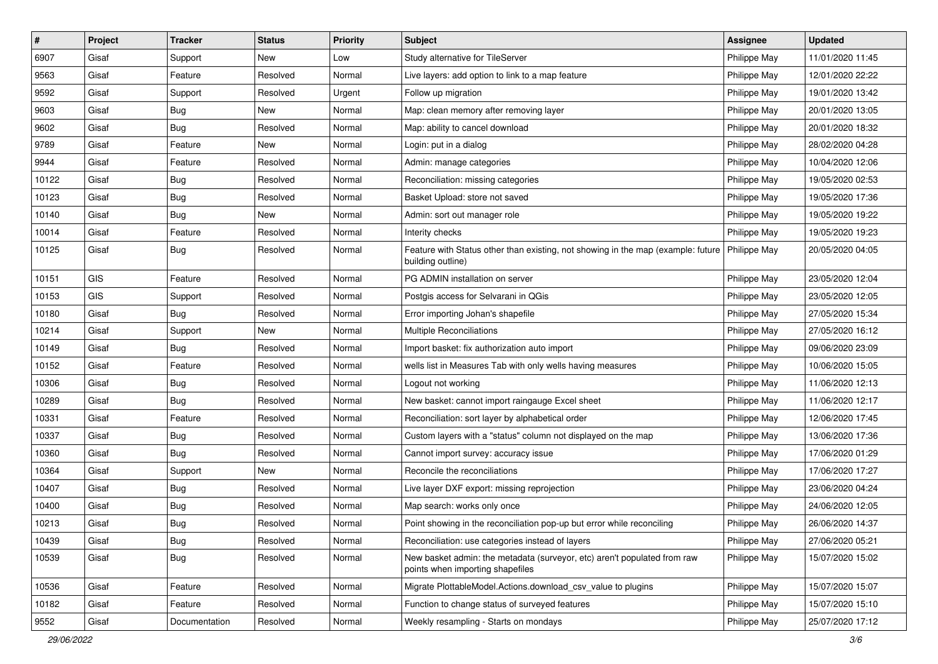| $\sharp$ | Project    | <b>Tracker</b> | <b>Status</b> | <b>Priority</b> | Subject                                                                                                              | <b>Assignee</b> | <b>Updated</b>   |
|----------|------------|----------------|---------------|-----------------|----------------------------------------------------------------------------------------------------------------------|-----------------|------------------|
| 6907     | Gisaf      | Support        | New           | Low             | Study alternative for TileServer                                                                                     | Philippe May    | 11/01/2020 11:45 |
| 9563     | Gisaf      | Feature        | Resolved      | Normal          | Live layers: add option to link to a map feature                                                                     | Philippe May    | 12/01/2020 22:22 |
| 9592     | Gisaf      | Support        | Resolved      | Urgent          | Follow up migration                                                                                                  | Philippe May    | 19/01/2020 13:42 |
| 9603     | Gisaf      | <b>Bug</b>     | New           | Normal          | Map: clean memory after removing layer                                                                               | Philippe May    | 20/01/2020 13:05 |
| 9602     | Gisaf      | Bug            | Resolved      | Normal          | Map: ability to cancel download                                                                                      | Philippe May    | 20/01/2020 18:32 |
| 9789     | Gisaf      | Feature        | New           | Normal          | Login: put in a dialog                                                                                               | Philippe May    | 28/02/2020 04:28 |
| 9944     | Gisaf      | Feature        | Resolved      | Normal          | Admin: manage categories                                                                                             | Philippe May    | 10/04/2020 12:06 |
| 10122    | Gisaf      | <b>Bug</b>     | Resolved      | Normal          | Reconciliation: missing categories                                                                                   | Philippe May    | 19/05/2020 02:53 |
| 10123    | Gisaf      | <b>Bug</b>     | Resolved      | Normal          | Basket Upload: store not saved                                                                                       | Philippe May    | 19/05/2020 17:36 |
| 10140    | Gisaf      | Bug            | <b>New</b>    | Normal          | Admin: sort out manager role                                                                                         | Philippe May    | 19/05/2020 19:22 |
| 10014    | Gisaf      | Feature        | Resolved      | Normal          | Interity checks                                                                                                      | Philippe May    | 19/05/2020 19:23 |
| 10125    | Gisaf      | <b>Bug</b>     | Resolved      | Normal          | Feature with Status other than existing, not showing in the map (example: future   Philippe May<br>building outline) |                 | 20/05/2020 04:05 |
| 10151    | <b>GIS</b> | Feature        | Resolved      | Normal          | PG ADMIN installation on server                                                                                      | Philippe May    | 23/05/2020 12:04 |
| 10153    | <b>GIS</b> | Support        | Resolved      | Normal          | Postgis access for Selvarani in QGis                                                                                 | Philippe May    | 23/05/2020 12:05 |
| 10180    | Gisaf      | Bug            | Resolved      | Normal          | Error importing Johan's shapefile                                                                                    | Philippe May    | 27/05/2020 15:34 |
| 10214    | Gisaf      | Support        | <b>New</b>    | Normal          | Multiple Reconciliations                                                                                             | Philippe May    | 27/05/2020 16:12 |
| 10149    | Gisaf      | Bug            | Resolved      | Normal          | Import basket: fix authorization auto import                                                                         | Philippe May    | 09/06/2020 23:09 |
| 10152    | Gisaf      | Feature        | Resolved      | Normal          | wells list in Measures Tab with only wells having measures                                                           | Philippe May    | 10/06/2020 15:05 |
| 10306    | Gisaf      | <b>Bug</b>     | Resolved      | Normal          | Logout not working                                                                                                   | Philippe May    | 11/06/2020 12:13 |
| 10289    | Gisaf      | Bug            | Resolved      | Normal          | New basket: cannot import raingauge Excel sheet                                                                      | Philippe May    | 11/06/2020 12:17 |
| 10331    | Gisaf      | Feature        | Resolved      | Normal          | Reconciliation: sort layer by alphabetical order                                                                     | Philippe May    | 12/06/2020 17:45 |
| 10337    | Gisaf      | Bug            | Resolved      | Normal          | Custom layers with a "status" column not displayed on the map                                                        | Philippe May    | 13/06/2020 17:36 |
| 10360    | Gisaf      | <b>Bug</b>     | Resolved      | Normal          | Cannot import survey: accuracy issue                                                                                 | Philippe May    | 17/06/2020 01:29 |
| 10364    | Gisaf      | Support        | New           | Normal          | Reconcile the reconciliations                                                                                        | Philippe May    | 17/06/2020 17:27 |
| 10407    | Gisaf      | <b>Bug</b>     | Resolved      | Normal          | Live layer DXF export: missing reprojection                                                                          | Philippe May    | 23/06/2020 04:24 |
| 10400    | Gisaf      | Bug            | Resolved      | Normal          | Map search: works only once                                                                                          | Philippe May    | 24/06/2020 12:05 |
| 10213    | Gisaf      | <b>Bug</b>     | Resolved      | Normal          | Point showing in the reconciliation pop-up but error while reconciling                                               | Philippe May    | 26/06/2020 14:37 |
| 10439    | Gisaf      | Bug            | Resolved      | Normal          | Reconciliation: use categories instead of layers                                                                     | Philippe May    | 27/06/2020 05:21 |
| 10539    | Gisaf      | <b>Bug</b>     | Resolved      | Normal          | New basket admin: the metadata (surveyor, etc) aren't populated from raw<br>points when importing shapefiles         | Philippe May    | 15/07/2020 15:02 |
| 10536    | Gisaf      | Feature        | Resolved      | Normal          | Migrate PlottableModel.Actions.download csv value to plugins                                                         | Philippe May    | 15/07/2020 15:07 |
| 10182    | Gisaf      | Feature        | Resolved      | Normal          | Function to change status of surveyed features                                                                       | Philippe May    | 15/07/2020 15:10 |
| 9552     | Gisaf      | Documentation  | Resolved      | Normal          | Weekly resampling - Starts on mondays                                                                                | Philippe May    | 25/07/2020 17:12 |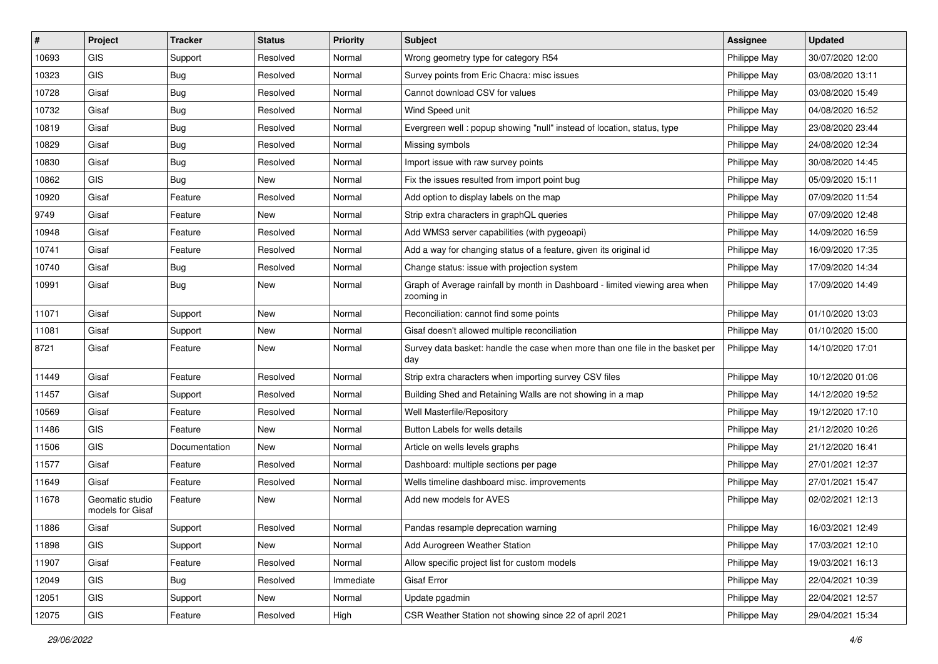| #     | Project                             | <b>Tracker</b> | <b>Status</b> | Priority  | <b>Subject</b>                                                                            | <b>Assignee</b> | <b>Updated</b>   |
|-------|-------------------------------------|----------------|---------------|-----------|-------------------------------------------------------------------------------------------|-----------------|------------------|
| 10693 | GIS                                 | Support        | Resolved      | Normal    | Wrong geometry type for category R54                                                      | Philippe May    | 30/07/2020 12:00 |
| 10323 | <b>GIS</b>                          | <b>Bug</b>     | Resolved      | Normal    | Survey points from Eric Chacra: misc issues                                               | Philippe May    | 03/08/2020 13:11 |
| 10728 | Gisaf                               | <b>Bug</b>     | Resolved      | Normal    | Cannot download CSV for values                                                            | Philippe May    | 03/08/2020 15:49 |
| 10732 | Gisaf                               | <b>Bug</b>     | Resolved      | Normal    | Wind Speed unit                                                                           | Philippe May    | 04/08/2020 16:52 |
| 10819 | Gisaf                               | Bug            | Resolved      | Normal    | Evergreen well: popup showing "null" instead of location, status, type                    | Philippe May    | 23/08/2020 23:44 |
| 10829 | Gisaf                               | <b>Bug</b>     | Resolved      | Normal    | Missing symbols                                                                           | Philippe May    | 24/08/2020 12:34 |
| 10830 | Gisaf                               | <b>Bug</b>     | Resolved      | Normal    | Import issue with raw survey points                                                       | Philippe May    | 30/08/2020 14:45 |
| 10862 | GIS                                 | Bug            | New           | Normal    | Fix the issues resulted from import point bug                                             | Philippe May    | 05/09/2020 15:11 |
| 10920 | Gisaf                               | Feature        | Resolved      | Normal    | Add option to display labels on the map                                                   | Philippe May    | 07/09/2020 11:54 |
| 9749  | Gisaf                               | Feature        | New           | Normal    | Strip extra characters in graphQL queries                                                 | Philippe May    | 07/09/2020 12:48 |
| 10948 | Gisaf                               | Feature        | Resolved      | Normal    | Add WMS3 server capabilities (with pygeoapi)                                              | Philippe May    | 14/09/2020 16:59 |
| 10741 | Gisaf                               | Feature        | Resolved      | Normal    | Add a way for changing status of a feature, given its original id                         | Philippe May    | 16/09/2020 17:35 |
| 10740 | Gisaf                               | <b>Bug</b>     | Resolved      | Normal    | Change status: issue with projection system                                               | Philippe May    | 17/09/2020 14:34 |
| 10991 | Gisaf                               | Bug            | New           | Normal    | Graph of Average rainfall by month in Dashboard - limited viewing area when<br>zooming in | Philippe May    | 17/09/2020 14:49 |
| 11071 | Gisaf                               | Support        | New           | Normal    | Reconciliation: cannot find some points                                                   | Philippe May    | 01/10/2020 13:03 |
| 11081 | Gisaf                               | Support        | New           | Normal    | Gisaf doesn't allowed multiple reconciliation                                             | Philippe May    | 01/10/2020 15:00 |
| 8721  | Gisaf                               | Feature        | New           | Normal    | Survey data basket: handle the case when more than one file in the basket per<br>day      | Philippe May    | 14/10/2020 17:01 |
| 11449 | Gisaf                               | Feature        | Resolved      | Normal    | Strip extra characters when importing survey CSV files                                    | Philippe May    | 10/12/2020 01:06 |
| 11457 | Gisaf                               | Support        | Resolved      | Normal    | Building Shed and Retaining Walls are not showing in a map                                | Philippe May    | 14/12/2020 19:52 |
| 10569 | Gisaf                               | Feature        | Resolved      | Normal    | Well Masterfile/Repository                                                                | Philippe May    | 19/12/2020 17:10 |
| 11486 | GIS                                 | Feature        | New           | Normal    | Button Labels for wells details                                                           | Philippe May    | 21/12/2020 10:26 |
| 11506 | <b>GIS</b>                          | Documentation  | New           | Normal    | Article on wells levels graphs                                                            | Philippe May    | 21/12/2020 16:41 |
| 11577 | Gisaf                               | Feature        | Resolved      | Normal    | Dashboard: multiple sections per page                                                     | Philippe May    | 27/01/2021 12:37 |
| 11649 | Gisaf                               | Feature        | Resolved      | Normal    | Wells timeline dashboard misc. improvements                                               | Philippe May    | 27/01/2021 15:47 |
| 11678 | Geomatic studio<br>models for Gisaf | Feature        | New           | Normal    | Add new models for AVES                                                                   | Philippe May    | 02/02/2021 12:13 |
| 11886 | Gisaf                               | Support        | Resolved      | Normal    | Pandas resample deprecation warning                                                       | Philippe May    | 16/03/2021 12:49 |
| 11898 | <b>GIS</b>                          | Support        | New           | Normal    | Add Aurogreen Weather Station                                                             | Philippe May    | 17/03/2021 12:10 |
| 11907 | Gisaf                               | Feature        | Resolved      | Normal    | Allow specific project list for custom models                                             | Philippe May    | 19/03/2021 16:13 |
| 12049 | GIS                                 | Bug            | Resolved      | Immediate | Gisaf Error                                                                               | Philippe May    | 22/04/2021 10:39 |
| 12051 | GIS                                 | Support        | New           | Normal    | Update pgadmin                                                                            | Philippe May    | 22/04/2021 12:57 |
| 12075 | GIS                                 | Feature        | Resolved      | High      | CSR Weather Station not showing since 22 of april 2021                                    | Philippe May    | 29/04/2021 15:34 |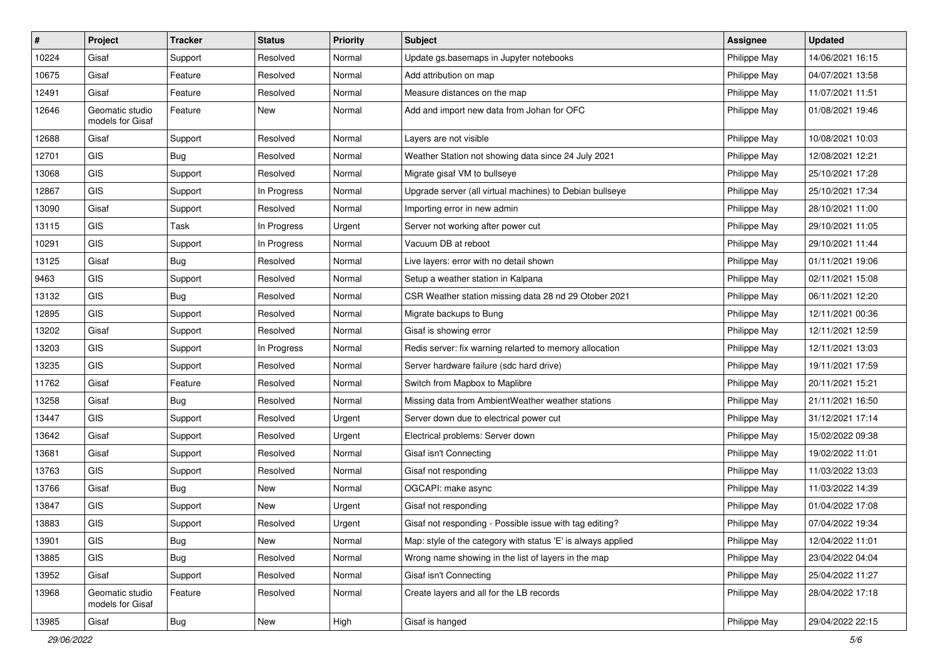| #     | Project                             | <b>Tracker</b> | <b>Status</b> | <b>Priority</b> | Subject                                                      | <b>Assignee</b> | <b>Updated</b>   |
|-------|-------------------------------------|----------------|---------------|-----------------|--------------------------------------------------------------|-----------------|------------------|
| 10224 | Gisaf                               | Support        | Resolved      | Normal          | Update gs.basemaps in Jupyter notebooks                      | Philippe May    | 14/06/2021 16:15 |
| 10675 | Gisaf                               | Feature        | Resolved      | Normal          | Add attribution on map                                       | Philippe May    | 04/07/2021 13:58 |
| 12491 | Gisaf                               | Feature        | Resolved      | Normal          | Measure distances on the map                                 | Philippe May    | 11/07/2021 11:51 |
| 12646 | Geomatic studio<br>models for Gisaf | Feature        | New           | Normal          | Add and import new data from Johan for OFC                   | Philippe May    | 01/08/2021 19:46 |
| 12688 | Gisaf                               | Support        | Resolved      | Normal          | Layers are not visible                                       | Philippe May    | 10/08/2021 10:03 |
| 12701 | GIS                                 | <b>Bug</b>     | Resolved      | Normal          | Weather Station not showing data since 24 July 2021          | Philippe May    | 12/08/2021 12:21 |
| 13068 | GIS                                 | Support        | Resolved      | Normal          | Migrate gisaf VM to bullseye                                 | Philippe May    | 25/10/2021 17:28 |
| 12867 | GIS                                 | Support        | In Progress   | Normal          | Upgrade server (all virtual machines) to Debian bullseye     | Philippe May    | 25/10/2021 17:34 |
| 13090 | Gisaf                               | Support        | Resolved      | Normal          | Importing error in new admin                                 | Philippe May    | 28/10/2021 11:00 |
| 13115 | <b>GIS</b>                          | Task           | In Progress   | Urgent          | Server not working after power cut                           | Philippe May    | 29/10/2021 11:05 |
| 10291 | GIS                                 | Support        | In Progress   | Normal          | Vacuum DB at reboot                                          | Philippe May    | 29/10/2021 11:44 |
| 13125 | Gisaf                               | Bug            | Resolved      | Normal          | Live layers: error with no detail shown                      | Philippe May    | 01/11/2021 19:06 |
| 9463  | GIS                                 | Support        | Resolved      | Normal          | Setup a weather station in Kalpana                           | Philippe May    | 02/11/2021 15:08 |
| 13132 | GIS                                 | <b>Bug</b>     | Resolved      | Normal          | CSR Weather station missing data 28 nd 29 Otober 2021        | Philippe May    | 06/11/2021 12:20 |
| 12895 | GIS                                 | Support        | Resolved      | Normal          | Migrate backups to Bung                                      | Philippe May    | 12/11/2021 00:36 |
| 13202 | Gisaf                               | Support        | Resolved      | Normal          | Gisaf is showing error                                       | Philippe May    | 12/11/2021 12:59 |
| 13203 | GIS                                 | Support        | In Progress   | Normal          | Redis server: fix warning relarted to memory allocation      | Philippe May    | 12/11/2021 13:03 |
| 13235 | GIS                                 | Support        | Resolved      | Normal          | Server hardware failure (sdc hard drive)                     | Philippe May    | 19/11/2021 17:59 |
| 11762 | Gisaf                               | Feature        | Resolved      | Normal          | Switch from Mapbox to Maplibre                               | Philippe May    | 20/11/2021 15:21 |
| 13258 | Gisaf                               | <b>Bug</b>     | Resolved      | Normal          | Missing data from AmbientWeather weather stations            | Philippe May    | 21/11/2021 16:50 |
| 13447 | GIS                                 | Support        | Resolved      | Urgent          | Server down due to electrical power cut                      | Philippe May    | 31/12/2021 17:14 |
| 13642 | Gisaf                               | Support        | Resolved      | Urgent          | Electrical problems: Server down                             | Philippe May    | 15/02/2022 09:38 |
| 13681 | Gisaf                               | Support        | Resolved      | Normal          | Gisaf isn't Connecting                                       | Philippe May    | 19/02/2022 11:01 |
| 13763 | GIS                                 | Support        | Resolved      | Normal          | Gisaf not responding                                         | Philippe May    | 11/03/2022 13:03 |
| 13766 | Gisaf                               | Bug            | New           | Normal          | OGCAPI: make async                                           | Philippe May    | 11/03/2022 14:39 |
| 13847 | GIS                                 | Support        | New           | Urgent          | Gisaf not responding                                         | Philippe May    | 01/04/2022 17:08 |
| 13883 | GIS                                 | Support        | Resolved      | Urgent          | Gisaf not responding - Possible issue with tag editing?      | Philippe May    | 07/04/2022 19:34 |
| 13901 | GIS                                 | <b>Bug</b>     | New           | Normal          | Map: style of the category with status 'E' is always applied | Philippe May    | 12/04/2022 11:01 |
| 13885 | GIS                                 | <b>Bug</b>     | Resolved      | Normal          | Wrong name showing in the list of layers in the map          | Philippe May    | 23/04/2022 04:04 |
| 13952 | Gisaf                               | Support        | Resolved      | Normal          | Gisaf isn't Connecting                                       | Philippe May    | 25/04/2022 11:27 |
| 13968 | Geomatic studio<br>models for Gisaf | Feature        | Resolved      | Normal          | Create layers and all for the LB records                     | Philippe May    | 28/04/2022 17:18 |
| 13985 | Gisaf                               | Bug            | New           | High            | Gisaf is hanged                                              | Philippe May    | 29/04/2022 22:15 |